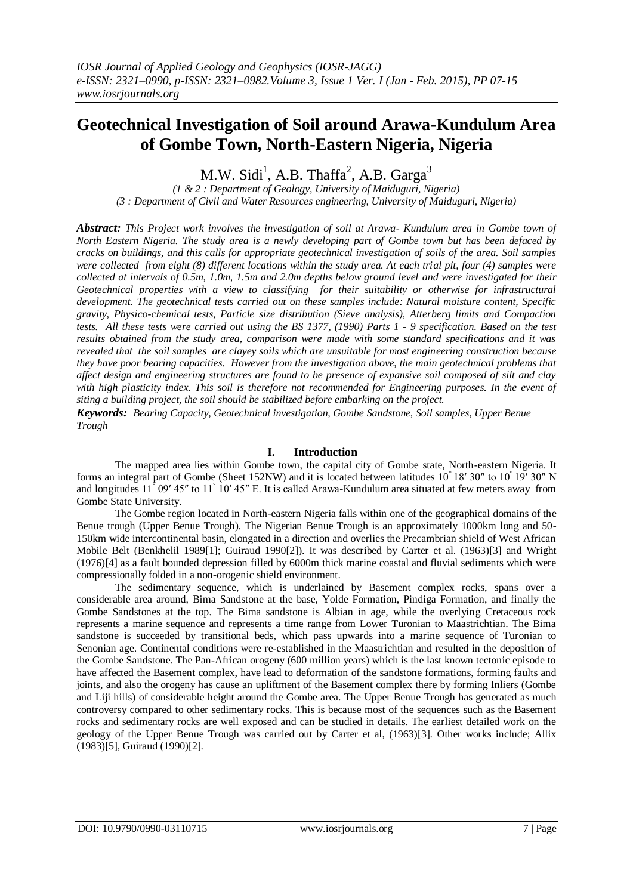# **Geotechnical Investigation of Soil around Arawa-Kundulum Area of Gombe Town, North-Eastern Nigeria, Nigeria**

M.W. Sidi<sup>1</sup>, A.B. Thaffa<sup>2</sup>, A.B. Garga<sup>3</sup>

*(1 & 2 : Department of Geology, University of Maiduguri, Nigeria) (3 : Department of Civil and Water Resources engineering, University of Maiduguri, Nigeria)* 

*Abstract: This Project work involves the investigation of soil at Arawa- Kundulum area in Gombe town of North Eastern Nigeria. The study area is a newly developing part of Gombe town but has been defaced by cracks on buildings, and this calls for appropriate geotechnical investigation of soils of the area. Soil samples were collected from eight (8) different locations within the study area. At each trial pit, four (4) samples were collected at intervals of 0.5m, 1.0m, 1.5m and 2.0m depths below ground level and were investigated for their Geotechnical properties with a view to classifying for their suitability or otherwise for infrastructural development. The geotechnical tests carried out on these samples include: Natural moisture content, Specific gravity, Physico-chemical tests, Particle size distribution (Sieve analysis), Atterberg limits and Compaction tests. All these tests were carried out using the BS 1377, (1990) Parts 1 - 9 specification. Based on the test results obtained from the study area, comparison were made with some standard specifications and it was revealed that the soil samples are clayey soils which are unsuitable for most engineering construction because they have poor bearing capacities. However from the investigation above, the main geotechnical problems that affect design and engineering structures are found to be presence of expansive soil composed of silt and clay*  with high plasticity index. This soil is therefore not recommended for Engineering purposes. In the event of *siting a building project, the soil should be stabilized before embarking on the project.* 

*Keywords: Bearing Capacity, Geotechnical investigation, Gombe Sandstone, Soil samples, Upper Benue Trough*

# **I. Introduction**

The mapped area lies within Gombe town, the capital city of Gombe state, North-eastern Nigeria. It forms an integral part of Gombe (Sheet 152NW) and it is located between latitudes 10° 18′ 30″ to 10° 19′ 30″ N and longitudes 11<sup>°</sup> 09' 45" to 11<sup>°</sup> 10' 45" E. It is called Arawa-Kundulum area situated at few meters away from Gombe State University.

The Gombe region located in North-eastern Nigeria falls within one of the geographical domains of the Benue trough (Upper Benue Trough). The Nigerian Benue Trough is an approximately 1000km long and 50- 150km wide intercontinental basin, elongated in a direction and overlies the Precambrian shield of West African Mobile Belt (Benkhelil 1989[1]; Guiraud 1990[2]). It was described by Carter et al. (1963)[3] and Wright (1976)[4] as a fault bounded depression filled by 6000m thick marine coastal and fluvial sediments which were compressionally folded in a non-orogenic shield environment.

The sedimentary sequence, which is underlained by Basement complex rocks, spans over a considerable area around, Bima Sandstone at the base, Yolde Formation, Pindiga Formation, and finally the Gombe Sandstones at the top. The Bima sandstone is Albian in age, while the overlying Cretaceous rock represents a marine sequence and represents a time range from Lower Turonian to Maastrichtian. The Bima sandstone is succeeded by transitional beds, which pass upwards into a marine sequence of Turonian to Senonian age. Continental conditions were re-established in the Maastrichtian and resulted in the deposition of the Gombe Sandstone. The Pan-African orogeny (600 million years) which is the last known tectonic episode to have affected the Basement complex, have lead to deformation of the sandstone formations, forming faults and joints, and also the orogeny has cause an upliftment of the Basement complex there by forming Inliers (Gombe and Liji hills) of considerable height around the Gombe area. The Upper Benue Trough has generated as much controversy compared to other sedimentary rocks. This is because most of the sequences such as the Basement rocks and sedimentary rocks are well exposed and can be studied in details. The earliest detailed work on the geology of the Upper Benue Trough was carried out by Carter et al, (1963)[3]. Other works include; Allix (1983)[5], Guiraud (1990)[2].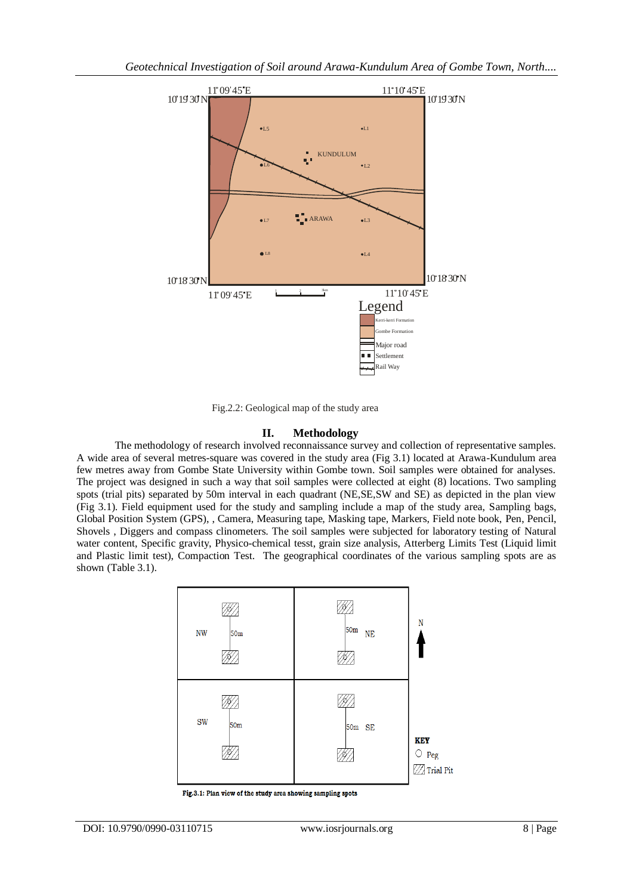

Fig.2.2: Geological map of the study area

# **II. Methodology**

The methodology of research involved reconnaissance survey and collection of representative samples. A wide area of several metres-square was covered in the study area (Fig 3.1) located at Arawa-Kundulum area few metres away from Gombe State University within Gombe town. Soil samples were obtained for analyses. The project was designed in such a way that soil samples were collected at eight (8) locations. Two sampling spots (trial pits) separated by 50m interval in each quadrant (NE,SE,SW and SE) as depicted in the plan view (Fig 3.1). Field equipment used for the study and sampling include a map of the study area, Sampling bags, Global Position System (GPS), , Camera, Measuring tape, Masking tape, Markers, Field note book, Pen, Pencil, Shovels , Diggers and compass clinometers. The soil samples were subjected for laboratory testing of Natural water content, Specific gravity, Physico-chemical tesst, grain size analysis, Atterberg Limits Test (Liquid limit and Plastic limit test), Compaction Test. The geographical coordinates of the various sampling spots are as shown (Table 3.1).



Fig.3.1: Plan view of the study area showing sampling spots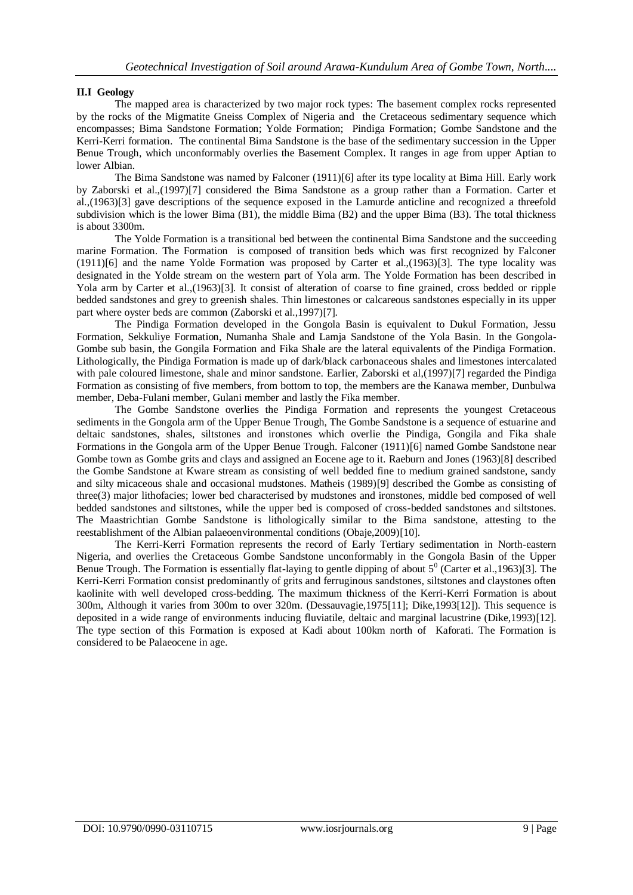# **II.I Geology**

The mapped area is characterized by two major rock types: The basement complex rocks represented by the rocks of the Migmatite Gneiss Complex of Nigeria and the Cretaceous sedimentary sequence which encompasses; Bima Sandstone Formation; Yolde Formation; Pindiga Formation; Gombe Sandstone and the Kerri-Kerri formation. The continental Bima Sandstone is the base of the sedimentary succession in the Upper Benue Trough, which unconformably overlies the Basement Complex. It ranges in age from upper Aptian to lower Albian.

The Bima Sandstone was named by Falconer (1911)[6] after its type locality at Bima Hill. Early work by Zaborski et al.,(1997)[7] considered the Bima Sandstone as a group rather than a Formation. Carter et al.,(1963)[3] gave descriptions of the sequence exposed in the Lamurde anticline and recognized a threefold subdivision which is the lower Bima (B1), the middle Bima (B2) and the upper Bima (B3). The total thickness is about 3300m.

The Yolde Formation is a transitional bed between the continental Bima Sandstone and the succeeding marine Formation. The Formation is composed of transition beds which was first recognized by Falconer (1911)[6] and the name Yolde Formation was proposed by Carter et al.,(1963)[3]. The type locality was designated in the Yolde stream on the western part of Yola arm. The Yolde Formation has been described in Yola arm by Carter et al.,(1963)[3]. It consist of alteration of coarse to fine grained, cross bedded or ripple bedded sandstones and grey to greenish shales. Thin limestones or calcareous sandstones especially in its upper part where oyster beds are common (Zaborski et al.,1997)[7].

The Pindiga Formation developed in the Gongola Basin is equivalent to Dukul Formation, Jessu Formation, Sekkuliye Formation, Numanha Shale and Lamja Sandstone of the Yola Basin. In the Gongola-Gombe sub basin, the Gongila Formation and Fika Shale are the lateral equivalents of the Pindiga Formation. Lithologically, the Pindiga Formation is made up of dark/black carbonaceous shales and limestones intercalated with pale coloured limestone, shale and minor sandstone. Earlier, Zaborski et al.(1997)[7] regarded the Pindiga Formation as consisting of five members, from bottom to top, the members are the Kanawa member, Dunbulwa member, Deba-Fulani member, Gulani member and lastly the Fika member.

The Gombe Sandstone overlies the Pindiga Formation and represents the youngest Cretaceous sediments in the Gongola arm of the Upper Benue Trough, The Gombe Sandstone is a sequence of estuarine and deltaic sandstones, shales, siltstones and ironstones which overlie the Pindiga, Gongila and Fika shale Formations in the Gongola arm of the Upper Benue Trough. Falconer (1911)[6] named Gombe Sandstone near Gombe town as Gombe grits and clays and assigned an Eocene age to it. Raeburn and Jones (1963)[8] described the Gombe Sandstone at Kware stream as consisting of well bedded fine to medium grained sandstone, sandy and silty micaceous shale and occasional mudstones. Matheis (1989)[9] described the Gombe as consisting of three(3) major lithofacies; lower bed characterised by mudstones and ironstones, middle bed composed of well bedded sandstones and siltstones, while the upper bed is composed of cross-bedded sandstones and siltstones. The Maastrichtian Gombe Sandstone is lithologically similar to the Bima sandstone, attesting to the reestablishment of the Albian palaeoenvironmental conditions (Obaje,2009)[10].

The Kerri-Kerri Formation represents the record of Early Tertiary sedimentation in North-eastern Nigeria, and overlies the Cretaceous Gombe Sandstone unconformably in the Gongola Basin of the Upper Benue Trough. The Formation is essentially flat-laying to gentle dipping of about  $5^0$  (Carter et al., 1963)[3]. The Kerri-Kerri Formation consist predominantly of grits and ferruginous sandstones, siltstones and claystones often kaolinite with well developed cross-bedding. The maximum thickness of the Kerri-Kerri Formation is about 300m, Although it varies from 300m to over 320m. (Dessauvagie,1975[11]; Dike,1993[12]). This sequence is deposited in a wide range of environments inducing fluviatile, deltaic and marginal lacustrine (Dike,1993)[12]. The type section of this Formation is exposed at Kadi about 100km north of Kaforati. The Formation is considered to be Palaeocene in age.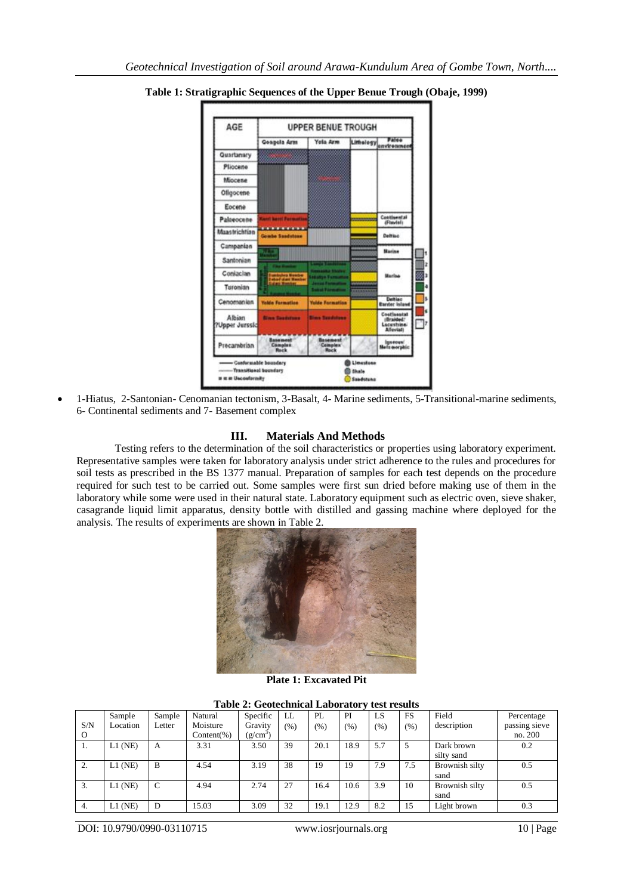

**Table 1: Stratigraphic Sequences of the Upper Benue Trough (Obaje, 1999)**

 1-Hiatus, 2-Santonian- Cenomanian tectonism, 3-Basalt, 4- Marine sediments, 5-Transitional-marine sediments, 6- Continental sediments and 7- Basement complex

## **III. Materials And Methods**

Testing refers to the determination of the soil characteristics or properties using laboratory experiment. Representative samples were taken for laboratory analysis under strict adherence to the rules and procedures for soil tests as prescribed in the BS 1377 manual. Preparation of samples for each test depends on the procedure required for such test to be carried out. Some samples were first sun dried before making use of them in the laboratory while some were used in their natural state. Laboratory equipment such as electric oven, sieve shaker, casagrande liquid limit apparatus, density bottle with distilled and gassing machine where deployed for the analysis. The results of experiments are shown in Table 2.



**Plate 1: Excavated Pit**

| <b>Table 2: Geotechnical Laboratory test results</b> |  |  |
|------------------------------------------------------|--|--|
|                                                      |  |  |

| S/N       | Sample<br>Location | Sample<br>Letter | Natural<br>Moisture | Specific<br>Gravity  | LL<br>(%) | PL<br>(96) | PI<br>(% ) | LS<br>(%) | <b>FS</b><br>$(\% )$ | Field<br>description     | Percentage<br>passing sieve |
|-----------|--------------------|------------------|---------------------|----------------------|-----------|------------|------------|-----------|----------------------|--------------------------|-----------------------------|
| $\Omega$  |                    |                  | $Content(\%)$       | (g/cm <sup>3</sup> ) |           |            |            |           |                      |                          | no. 200                     |
| -1.       | $L1$ (NE)          | А                | 3.31                | 3.50                 | 39        | 20.1       | 18.9       | 5.7       | 5                    | Dark brown<br>silty sand | 0.2                         |
| <b>4.</b> | $L1$ (NE)          | B                | 4.54                | 3.19                 | 38        | 19         | 19         | 7.9       | 7.5                  | Brownish silty<br>sand   | 0.5                         |
| 3.        | $L1$ (NE)          | $\mathcal{C}$    | 4.94                | 2.74                 | 27        | 16.4       | 10.6       | 3.9       | 10                   | Brownish silty<br>sand   | 0.5                         |
| 4.        | $L1$ (NE)          | D                | 15.03               | 3.09                 | 32        | 19.1       | 12.9       | 8.2       | 15                   | Light brown              | 0.3                         |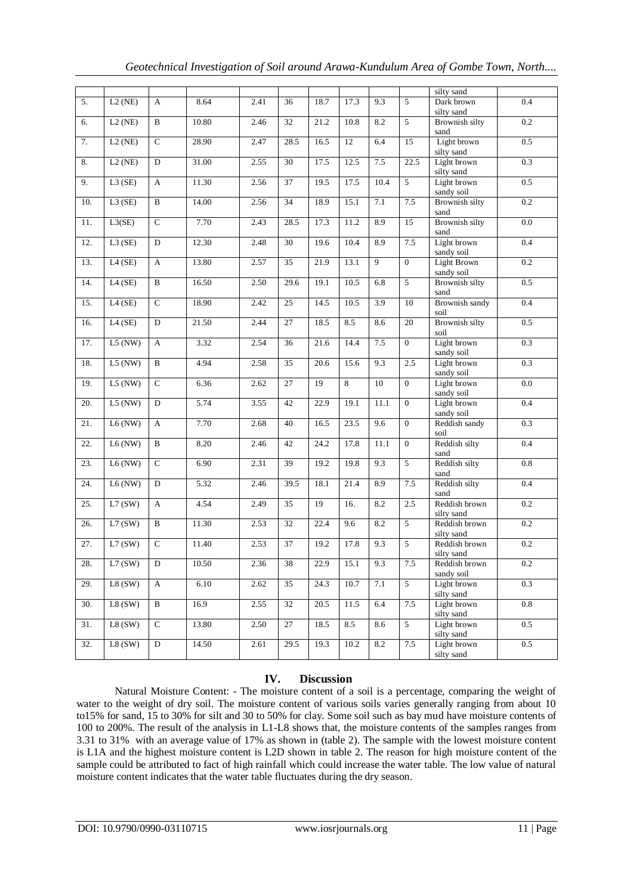|  |  | Geotechnical Investigation of Soil around Arawa-Kundulum Area of Gombe Town, North |  |
|--|--|------------------------------------------------------------------------------------|--|
|  |  |                                                                                    |  |

|                   |           |                |       |      |                 |      |                 |                |                 | silty sand                       |                  |
|-------------------|-----------|----------------|-------|------|-----------------|------|-----------------|----------------|-----------------|----------------------------------|------------------|
| $\overline{5}$ .  | $L2$ (NE) | A              | 8.64  | 2.41 | 36              | 18.7 | 17.3            | 9.3            | 5               | Dark brown<br>silty sand         | 0.4              |
| 6.                | $L2$ (NE) | B              | 10.80 | 2.46 | $\overline{32}$ | 21.2 | 10.8            | 8.2            | $\overline{5}$  | Brownish silty<br>sand           | 0.2              |
| 7.                | L2(NE)    | $\overline{C}$ | 28.90 | 2.47 | 28.5            | 16.5 | $\overline{12}$ | 6.4            | $\overline{15}$ | Light brown<br>silty sand        | 0.5              |
| 8.                | L2(NE)    | D              | 31.00 | 2.55 | 30              | 17.5 | 12.5            | 7.5            | 22.5            | Light brown<br>silty sand        | 0.3              |
| 9.                | $L3$ (SE) | A              | 11.30 | 2.56 | $\overline{37}$ | 19.5 | 17.5            | 10.4           | $\overline{5}$  | Light brown<br>sandy soil        | 0.5              |
| 10.               | L3(SE)    | B              | 14.00 | 2.56 | 34              | 18.9 | 15.1            | 7.1            | 7.5             | Brownish silty<br>sand           | 0.2              |
| 11.               | L3(SE)    | $\overline{C}$ | 7.70  | 2.43 | 28.5            | 17.3 | 11.2            | 8.9            | 15              | Brownish silty<br>sand           | $\overline{0.0}$ |
| 12.               | $L3$ (SE) | $\overline{D}$ | 12.30 | 2.48 | 30              | 19.6 | 10.4            | 8.9            | 7.5             | Light brown<br>sandy soil        | 0.4              |
| 13.               | $L4$ (SE) | $\mathbf{A}$   | 13.80 | 2.57 | $\overline{35}$ | 21.9 | 13.1            | $\overline{9}$ | $\overline{0}$  | <b>Light Brown</b><br>sandy soil | 0.2              |
| 14.               | $L4$ (SE) | $\, {\bf B}$   | 16.50 | 2.50 | 29.6            | 19.1 | 10.5            | 6.8            | 5               | Brownish silty<br>sand           | 0.5              |
| 15.               | $L4$ (SE) | $\mathcal{C}$  | 18.90 | 2.42 | 25              | 14.5 | 10.5            | 3.9            | 10              | Brownish sandy<br>soil           | 0.4              |
| 16.               | $L4$ (SE) | D              | 21.50 | 2.44 | 27              | 18.5 | 8.5             | 8.6            | $20\,$          | <b>Brownish silty</b><br>soil    | $0.5\,$          |
| 17.               | $L5$ (NW) | $\mathbf{A}$   | 3.32  | 2.54 | $\overline{36}$ | 21.6 | 14.4            | 7.5            | $\overline{0}$  | Light brown<br>sandy soil        | 0.3              |
| 18.               | $L5$ (NW) | B              | 4.94  | 2.58 | 35              | 20.6 | 15.6            | 9.3            | 2.5             | Light brown<br>sandy soil        | 0.3              |
| 19.               | $L5$ (NW) | $\overline{C}$ | 6.36  | 2.62 | $\overline{27}$ | 19   | 8               | 10             | $\overline{0}$  | Light brown<br>sandy soil        | 0.0              |
| 20.               | $L5$ (NW) | D              | 5.74  | 3.55 | 42              | 22.9 | 19.1            | 11.1           | $\mathbf{0}$    | Light brown<br>sandy soil        | 0.4              |
| 21.               | $L6$ (NW) | A              | 7.70  | 2.68 | 40              | 16.5 | 23.5            | 9.6            | $\overline{0}$  | Reddish sandy<br>soil            | 0.3              |
| $\overline{22}$ . | L6(NW)    | B              | 8.20  | 2.46 | 42              | 24.2 | 17.8            | 11.1           | $\overline{0}$  | Reddish silty<br>sand            | 0.4              |
| 23.               | $L6$ (NW) | $\mathbf C$    | 6.90  | 2.31 | 39              | 19.2 | 19.8            | 9.3            | $5\,$           | Reddish silty<br>sand            | $0.8\,$          |
| 24.               | L6(NW)    | D              | 5.32  | 2.46 | 39.5            | 18.1 | 21.4            | 8.9            | $7.5\,$         | Reddish silty<br>sand            | 0.4              |
| 25.               | L7(SW)    | $\mathbf{A}$   | 4.54  | 2.49 | 35              | 19   | 16.             | 8.2            | 2.5             | Reddish brown<br>silty sand      | 0.2              |
| 26.               | L7(SW)    | $\overline{B}$ | 11.30 | 2.53 | $\overline{32}$ | 22.4 | 9.6             | 8.2            | 5               | Reddish brown<br>silty sand      | 0.2              |
| 27.               | L7(SW)    | $\overline{C}$ | 11.40 | 2.53 | $\overline{37}$ | 19.2 | 17.8            | 9.3            | $\overline{5}$  | Reddish brown<br>silty sand      | 0.2              |
| 28.               | L7(SW)    | $\overline{D}$ | 10.50 | 2.36 | 38              | 22.9 | 15.1            | 9.3            | 7.5             | Reddish brown<br>sandy soil      | 0.2              |
| 29.               | L8(SW)    | A              | 6.10  | 2.62 | 35              | 24.3 | 10.7            | 7.1            | $\overline{5}$  | Light brown<br>silty sand        | 0.3              |
| 30.               | L8(SW)    | $\overline{B}$ | 16.9  | 2.55 | 32              | 20.5 | 11.5            | 6.4            | 7.5             | Light brown<br>silty sand        | 0.8              |
| 31.               | L8(SW)    | $\overline{C}$ | 13.80 | 2.50 | 27              | 18.5 | 8.5             | 8.6            | 5               | Light brown<br>silty sand        | 0.5              |
| 32.               | L8(SW)    | $\mathbf D$    | 14.50 | 2.61 | 29.5            | 19.3 | $10.2\,$        | $8.2\,$        | 7.5             | Light brown<br>silty sand        | 0.5              |

# **IV. Discussion**

Natural Moisture Content: - The moisture content of a soil is a percentage, comparing the weight of water to the weight of dry soil. The moisture content of various soils varies generally ranging from about 10 to15% for sand, 15 to 30% for silt and 30 to 50% for clay. Some soil such as bay mud have moisture contents of 100 to 200%. The result of the analysis in L1-L8 shows that, the moisture contents of the samples ranges from 3.31 to 31% with an average value of 17% as shown in (table 2). The sample with the lowest moisture content is L1A and the highest moisture content is L2D shown in table 2. The reason for high moisture content of the sample could be attributed to fact of high rainfall which could increase the water table. The low value of natural moisture content indicates that the water table fluctuates during the dry season.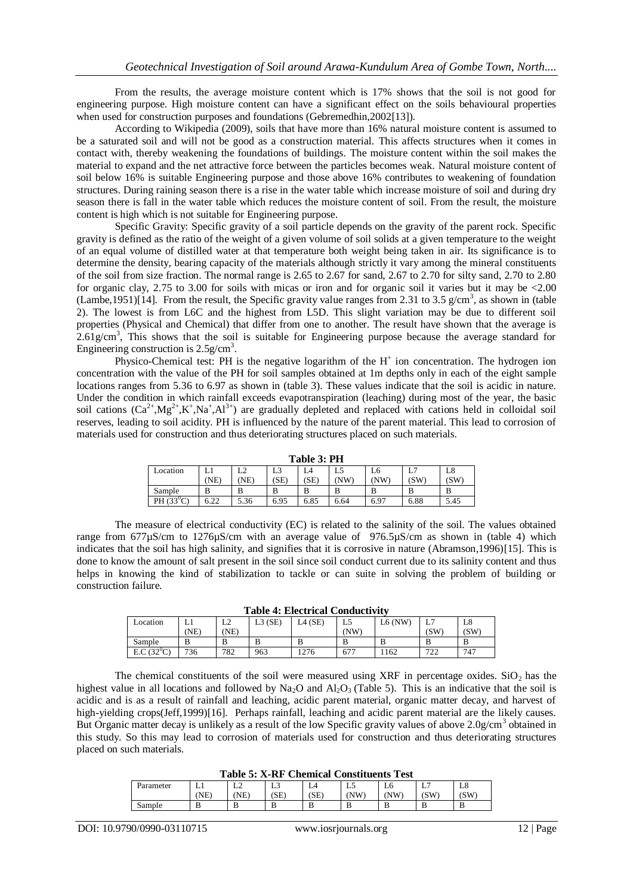From the results, the average moisture content which is 17% shows that the soil is not good for engineering purpose. High moisture content can have a significant effect on the soils behavioural properties when used for construction purposes and foundations (Gebremedhin, 2002[13]).

According to Wikipedia (2009), soils that have more than 16% natural moisture content is assumed to be a saturated soil and will not be good as a construction material. This affects structures when it comes in contact with, thereby weakening the foundations of buildings. The moisture content within the soil makes the material to expand and the net attractive force between the particles becomes weak. Natural moisture content of soil below 16% is suitable Engineering purpose and those above 16% contributes to weakening of foundation structures. During raining season there is a rise in the water table which increase moisture of soil and during dry season there is fall in the water table which reduces the moisture content of soil. From the result, the moisture content is high which is not suitable for Engineering purpose.

Specific Gravity: Specific gravity of a soil particle depends on the gravity of the parent rock. Specific gravity is defined as the ratio of the weight of a given volume of soil solids at a given temperature to the weight of an equal volume of distilled water at that temperature both weight being taken in air. Its significance is to determine the density, bearing capacity of the materials although strictly it vary among the mineral constituents of the soil from size fraction. The normal range is 2.65 to 2.67 for sand, 2.67 to 2.70 for silty sand, 2.70 to 2.80 for organic clay, 2.75 to 3.00 for soils with micas or iron and for organic soil it varies but it may be <2.00 (Lambe, 1951)[14]. From the result, the Specific gravity value ranges from 2.31 to 3.5 g/cm<sup>3</sup>, as shown in (table 2). The lowest is from L6C and the highest from L5D. This slight variation may be due to different soil properties (Physical and Chemical) that differ from one to another. The result have shown that the average is  $2.61$ g/cm<sup>3</sup>, This shows that the soil is suitable for Engineering purpose because the average standard for Engineering construction is  $2.5$ g/cm<sup>3</sup>.

Physico-Chemical test: PH is the negative logarithm of the  $H^+$  ion concentration. The hydrogen ion concentration with the value of the PH for soil samples obtained at 1m depths only in each of the eight sample locations ranges from 5.36 to 6.97 as shown in (table 3). These values indicate that the soil is acidic in nature. Under the condition in which rainfall exceeds evapotranspiration (leaching) during most of the year, the basic soil cations  $(Ca^{2+}, Mg^{2+}, K^+, Na^+, Al^{3+})$  are gradually depleted and replaced with cations held in colloidal soil reserves, leading to soil acidity. PH is influenced by the nature of the parent material. This lead to corrosion of materials used for construction and thus deteriorating structures placed on such materials.

| Table 3: PH  |            |           |            |            |            |           |           |            |  |  |  |
|--------------|------------|-----------|------------|------------|------------|-----------|-----------|------------|--|--|--|
| Location     | LI<br>'NE) | ∸<br>(NE) | L3<br>[SE] | L4<br>(SE) | L5<br>(NW) | L6<br>NW. | ⊷<br>(SW) | L8<br>(SW) |  |  |  |
| Sample       | B          |           |            |            |            |           |           | В          |  |  |  |
| PH $(33^0C)$ | 6.22       | 5.36      | 6.95       | 6.85       | 6.64       | 6.97      | 6.88      | 5.45       |  |  |  |

The measure of electrical conductivity (EC) is related to the salinity of the soil. The values obtained range from 677µS/cm to 1276µS/cm with an average value of 976.5µS/cm as shown in (table 4) which indicates that the soil has high salinity, and signifies that it is corrosive in nature (Abramson,1996)[15]. This is done to know the amount of salt present in the soil since soil conduct current due to its salinity content and thus helps in knowing the kind of stabilization to tackle or can suite in solving the problem of building or construction failure.

| Location          | --------------------<br>-------------<br>(SE)<br>$L4$ (SE)<br>$L6$ (NW)<br>г о<br>. .<br>L8<br>L5<br>⊥∠<br><u>، ب</u><br>⊥⊥ |      |        |      |     |     |           |     |  |  |  |
|-------------------|-----------------------------------------------------------------------------------------------------------------------------|------|--------|------|-----|-----|-----------|-----|--|--|--|
|                   | NE)                                                                                                                         | 'NE) |        |      | (NW |     | (SW       | (SW |  |  |  |
| Sample            | B                                                                                                                           | Ð    | D<br>D |      | ם   |     | B         | B   |  |  |  |
| $E.C.$ (32 $°C$ ) | 736                                                                                                                         | 782  | 963    | 1276 | 677 | 162 | 722<br>∠∠ | 747 |  |  |  |

The chemical constituents of the soil were measured using XRF in percentage oxides.  $SiO<sub>2</sub>$  has the highest value in all locations and followed by Na<sub>2</sub>O and Al<sub>2</sub>O<sub>3</sub> (Table 5). This is an indicative that the soil is acidic and is as a result of rainfall and leaching, acidic parent material, organic matter decay, and harvest of high-yielding crops(Jeff,1999)[16]. Perhaps rainfall, leaching and acidic parent material are the likely causes. But Organic matter decay is unlikely as a result of the low Specific gravity values of above 2.0g/cm<sup>3</sup> obtained in this study. So this may lead to corrosion of materials used for construction and thus deteriorating structures placed on such materials.

**Table 5: X-RF Chemical Constituents Test**

| TANIC CI IL ILI CHICHILGHI COMPHENDING TODE |        |    |           |      |     |     |           |     |  |  |  |
|---------------------------------------------|--------|----|-----------|------|-----|-----|-----------|-----|--|--|--|
| Parameter                                   | ⊥⊥     | ∸∸ | - -<br>Lυ |      | ن ب | Lb  | ⊷         | ⊥റ  |  |  |  |
|                                             | NE)    | NE | (SE)      | (SE) | 'NW | 'NW | (SW<br>دا | (SW |  |  |  |
| Sample                                      | D<br>D |    |           | ≖    | . . | Ю   | D         | В   |  |  |  |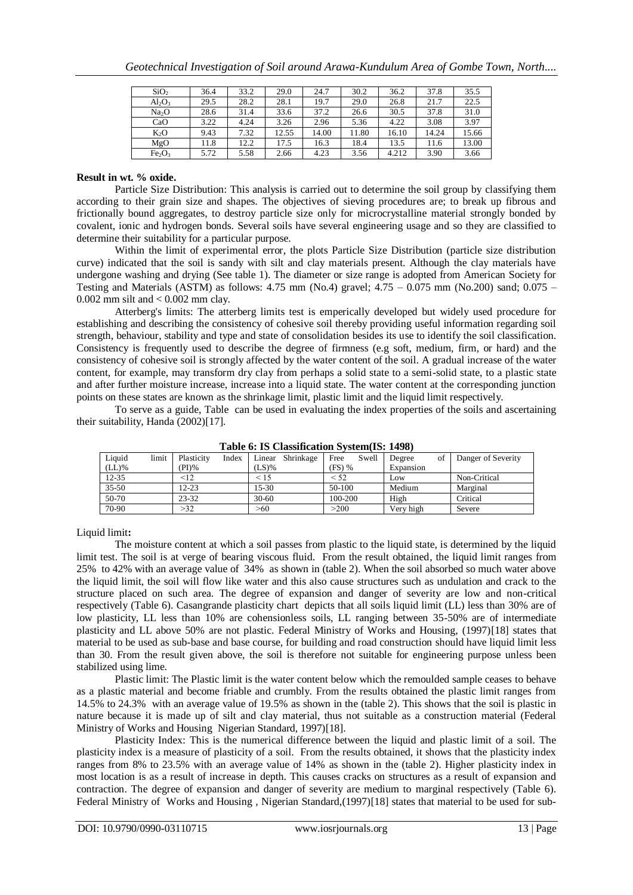| SiO <sub>2</sub>               | 36.4 | 33.2 | 29.0  | 24.7  | 30.2  | 36.2  | 37.8  | 35.5  |
|--------------------------------|------|------|-------|-------|-------|-------|-------|-------|
| $Al_2O_3$                      | 29.5 | 28.2 | 28.1  | 19.7  | 29.0  | 26.8  | 21.7  | 22.5  |
| Na <sub>2</sub> O              | 28.6 | 31.4 | 33.6  | 37.2  | 26.6  | 30.5  | 37.8  | 31.0  |
| CaO                            | 3.22 | 4.24 | 3.26  | 2.96  | 5.36  | 4.22  | 3.08  | 3.97  |
| $K_2O$                         | 9.43 | 7.32 | 12.55 | 14.00 | 11.80 | 16.10 | 14.24 | 15.66 |
| MgO                            | 11.8 | 12.2 | 17.5  | 16.3  | 18.4  | 13.5  | 11.6  | 13.00 |
| Fe <sub>2</sub> O <sub>3</sub> | 5.72 | 5.58 | 2.66  | 4.23  | 3.56  | 4.212 | 3.90  | 3.66  |

### **Result in wt. % oxide.**

Particle Size Distribution: This analysis is carried out to determine the soil group by classifying them according to their grain size and shapes. The objectives of sieving procedures are; to break up fibrous and frictionally bound aggregates, to destroy particle size only for microcrystalline material strongly bonded by covalent, ionic and hydrogen bonds. Several soils have several engineering usage and so they are classified to determine their suitability for a particular purpose.

Within the limit of experimental error, the plots Particle Size Distribution (particle size distribution curve) indicated that the soil is sandy with silt and clay materials present. Although the clay materials have undergone washing and drying (See table 1). The diameter or size range is adopted from American Society for Testing and Materials (ASTM) as follows: 4.75 mm (No.4) gravel;  $4.75 - 0.075$  mm (No.200) sand;  $0.075 -$ 0.002 mm silt and < 0.002 mm clay.

Atterberg's limits: The atterberg limits test is emperically developed but widely used procedure for establishing and describing the consistency of cohesive soil thereby providing useful information regarding soil strength, behaviour, stability and type and state of consolidation besides its use to identify the soil classification. Consistency is frequently used to describe the degree of firmness (e.g soft, medium, firm, or hard) and the consistency of cohesive soil is strongly affected by the water content of the soil. A gradual increase of the water content, for example, may transform dry clay from perhaps a solid state to a semi-solid state, to a plastic state and after further moisture increase, increase into a liquid state. The water content at the corresponding junction points on these states are known as the shrinkage limit, plastic limit and the liquid limit respectively.

To serve as a guide, Table can be used in evaluating the index properties of the soils and ascertaining their suitability, Handa (2002)[17].

| тари от 19 славницатот рузити 19. 1770 |       |            |       |           |           |          |       |           |  |                    |  |  |
|----------------------------------------|-------|------------|-------|-----------|-----------|----------|-------|-----------|--|--------------------|--|--|
| Liauid                                 | limit | Plasticity | Index | Linear    | Shrinkage | Free     | Swell | Degree    |  | Danger of Severity |  |  |
| $(LL)\%$                               |       | $(PI)$ %   |       | $(LS)\%$  |           | $(FS)$ % |       | Expansion |  |                    |  |  |
| $12 - 35$                              |       | <12        |       | $\leq 15$ |           | $<$ 52   |       | Low       |  | Non-Critical       |  |  |
| $35 - 50$                              |       | 12-23      |       | 15-30     |           | 50-100   |       | Medium    |  | Marginal           |  |  |
| 50-70                                  |       | $23 - 32$  |       | $30 - 60$ |           | 100-200  |       | High      |  | Critical           |  |  |
| 70-90                                  |       | >32        |       | >60       |           | >200     |       | Verv high |  | Severe             |  |  |

**Table 6: IS Classification System(IS: 1498)**

# Liquid limit**:**

The moisture content at which a soil passes from plastic to the liquid state, is determined by the liquid limit test. The soil is at verge of bearing viscous fluid. From the result obtained, the liquid limit ranges from 25% to 42% with an average value of 34% as shown in (table 2). When the soil absorbed so much water above the liquid limit, the soil will flow like water and this also cause structures such as undulation and crack to the structure placed on such area. The degree of expansion and danger of severity are low and non-critical respectively (Table 6). Casangrande plasticity chart depicts that all soils liquid limit (LL) less than 30% are of low plasticity, LL less than 10% are cohensionless soils, LL ranging between 35-50% are of intermediate plasticity and LL above 50% are not plastic. Federal Ministry of Works and Housing, (1997)[18] states that material to be used as sub-base and base course, for building and road construction should have liquid limit less than 30. From the result given above, the soil is therefore not suitable for engineering purpose unless been stabilized using lime.

Plastic limit: The Plastic limit is the water content below which the remoulded sample ceases to behave as a plastic material and become friable and crumbly. From the results obtained the plastic limit ranges from 14.5% to 24.3% with an average value of 19.5% as shown in the (table 2). This shows that the soil is plastic in nature because it is made up of silt and clay material, thus not suitable as a construction material (Federal Ministry of Works and Housing Nigerian Standard, 1997)[18].

Plasticity Index: This is the numerical difference between the liquid and plastic limit of a soil. The plasticity index is a measure of plasticity of a soil. From the results obtained, it shows that the plasticity index ranges from 8% to 23.5% with an average value of 14% as shown in the (table 2). Higher plasticity index in most location is as a result of increase in depth. This causes cracks on structures as a result of expansion and contraction. The degree of expansion and danger of severity are medium to marginal respectively (Table 6). Federal Ministry of Works and Housing, Nigerian Standard,(1997)[18] states that material to be used for sub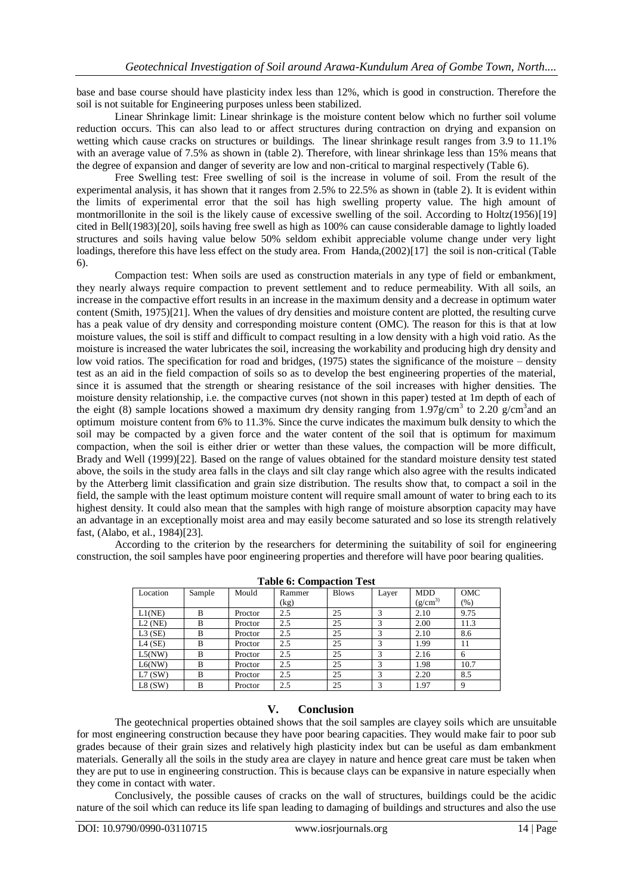base and base course should have plasticity index less than 12%, which is good in construction. Therefore the soil is not suitable for Engineering purposes unless been stabilized.

Linear Shrinkage limit: Linear shrinkage is the moisture content below which no further soil volume reduction occurs. This can also lead to or affect structures during contraction on drying and expansion on wetting which cause cracks on structures or buildings. The linear shrinkage result ranges from 3.9 to 11.1% with an average value of 7.5% as shown in (table 2). Therefore, with linear shrinkage less than 15% means that the degree of expansion and danger of severity are low and non-critical to marginal respectively (Table 6).

Free Swelling test: Free swelling of soil is the increase in volume of soil. From the result of the experimental analysis, it has shown that it ranges from 2.5% to 22.5% as shown in (table 2). It is evident within the limits of experimental error that the soil has high swelling property value. The high amount of montmorillonite in the soil is the likely cause of excessive swelling of the soil. According to Holtz(1956)[19] cited in Bell(1983)[20], soils having free swell as high as 100% can cause considerable damage to lightly loaded structures and soils having value below 50% seldom exhibit appreciable volume change under very light loadings, therefore this have less effect on the study area. From Handa,(2002)[17] the soil is non-critical (Table 6).

Compaction test: When soils are used as construction materials in any type of field or embankment, they nearly always require compaction to prevent settlement and to reduce permeability. With all soils, an increase in the compactive effort results in an increase in the maximum density and a decrease in optimum water content (Smith, 1975)[21]. When the values of dry densities and moisture content are plotted, the resulting curve has a peak value of dry density and corresponding moisture content (OMC). The reason for this is that at low moisture values, the soil is stiff and difficult to compact resulting in a low density with a high void ratio. As the moisture is increased the water lubricates the soil, increasing the workability and producing high dry density and low void ratios. The specification for road and bridges, (1975) states the significance of the moisture – density test as an aid in the field compaction of soils so as to develop the best engineering properties of the material, since it is assumed that the strength or shearing resistance of the soil increases with higher densities. The moisture density relationship, i.e. the compactive curves (not shown in this paper) tested at 1m depth of each of the eight (8) sample locations showed a maximum dry density ranging from 1.97g/cm<sup>3</sup> to 2.20 g/cm<sup>3</sup> and an optimum moisture content from 6% to 11.3%. Since the curve indicates the maximum bulk density to which the soil may be compacted by a given force and the water content of the soil that is optimum for maximum compaction, when the soil is either drier or wetter than these values, the compaction will be more difficult, Brady and Well (1999)[22]. Based on the range of values obtained for the standard moisture density test stated above, the soils in the study area falls in the clays and silt clay range which also agree with the results indicated by the Atterberg limit classification and grain size distribution. The results show that, to compact a soil in the field, the sample with the least optimum moisture content will require small amount of water to bring each to its highest density. It could also mean that the samples with high range of moisture absorption capacity may have an advantage in an exceptionally moist area and may easily become saturated and so lose its strength relatively fast, (Alabo, et al., 1984)[23].

According to the criterion by the researchers for determining the suitability of soil for engineering construction, the soil samples have poor engineering properties and therefore will have poor bearing qualities.

| Location  | Sample | Mould   | Rammer | <b>Blows</b> | Layer | <b>MDD</b>   | OMC  |
|-----------|--------|---------|--------|--------------|-------|--------------|------|
|           |        |         | (kg)   |              |       | $(g/cm^{3})$ | (96) |
| L1(NE)    | B      | Proctor | 2.5    | 25           | 3     | 2.10         | 9.75 |
| $L2$ (NE) | B      | Proctor | 2.5    | 25           | 3     | 2.00         | 11.3 |
| $L3$ (SE) | B      | Proctor | 2.5    | 25           | 3     | 2.10         | 8.6  |
| $L4$ (SE) | B      | Proctor | 2.5    | 25           | 3     | 1.99         | 11   |
| L5(NW)    | B      | Proctor | 2.5    | 25           | 3     | 2.16         | 6    |
| L6(NW)    | B      | Proctor | 2.5    | 25           | 3     | 1.98         | 10.7 |
| L7(SW)    | B      | Proctor | 2.5    | 25           | 3     | 2.20         | 8.5  |
| L8(SW)    | B      | Proctor | 2.5    | 25           | 3     | 1.97         |      |

**Table 6: Compaction Test**

# **V. Conclusion**

The geotechnical properties obtained shows that the soil samples are clayey soils which are unsuitable for most engineering construction because they have poor bearing capacities. They would make fair to poor sub grades because of their grain sizes and relatively high plasticity index but can be useful as dam embankment materials. Generally all the soils in the study area are clayey in nature and hence great care must be taken when they are put to use in engineering construction. This is because clays can be expansive in nature especially when they come in contact with water.

Conclusively, the possible causes of cracks on the wall of structures, buildings could be the acidic nature of the soil which can reduce its life span leading to damaging of buildings and structures and also the use